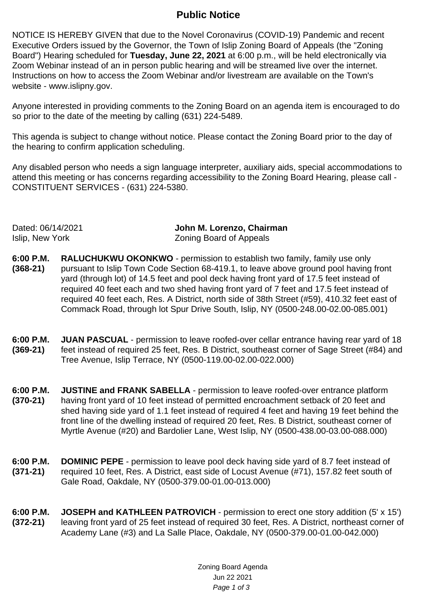## **Public Notice**

NOTICE IS HEREBY GIVEN that due to the Novel Coronavirus (COVID-19) Pandemic and recent Executive Orders issued by the Governor, the Town of Islip Zoning Board of Appeals (the "Zoning Board") Hearing scheduled for **Tuesday, June 22, 2021** at 6:00 p.m., will be held electronically via Zoom Webinar instead of an in person public hearing and will be streamed live over the internet. Instructions on how to access the Zoom Webinar and/or livestream are available on the Town's website - www.islipny.gov.

Anyone interested in providing comments to the Zoning Board on an agenda item is encouraged to do so prior to the date of the meeting by calling (631) 224-5489.

This agenda is subject to change without notice. Please contact the Zoning Board prior to the day of the hearing to confirm application scheduling.

Any disabled person who needs a sign language interpreter, auxiliary aids, special accommodations to attend this meeting or has concerns regarding accessibility to the Zoning Board Hearing, please call - CONSTITUENT SERVICES - (631) 224-5380.

Dated: 06/14/2021 **John M. Lorenzo, Chairman** Islip, New York Zoning Board of Appeals

- **6:00 P.M. (368-21) RALUCHUKWU OKONKWO** - permission to establish two family, family use only pursuant to Islip Town Code Section 68-419.1, to leave above ground pool having front yard (through lot) of 14.5 feet and pool deck having front yard of 17.5 feet instead of required 40 feet each and two shed having front yard of 7 feet and 17.5 feet instead of required 40 feet each, Res. A District, north side of 38th Street (#59), 410.32 feet east of Commack Road, through lot Spur Drive South, Islip, NY (0500-248.00-02.00-085.001)
- **6:00 P.M. (369-21) JUAN PASCUAL** - permission to leave roofed-over cellar entrance having rear vard of 18 feet instead of required 25 feet, Res. B District, southeast corner of Sage Street (#84) and Tree Avenue, Islip Terrace, NY (0500-119.00-02.00-022.000)
- **6:00 P.M. (370-21) JUSTINE and FRANK SABELLA** - permission to leave roofed-over entrance platform having front yard of 10 feet instead of permitted encroachment setback of 20 feet and shed having side yard of 1.1 feet instead of required 4 feet and having 19 feet behind the front line of the dwelling instead of required 20 feet, Res. B District, southeast corner of Myrtle Avenue (#20) and Bardolier Lane, West Islip, NY (0500-438.00-03.00-088.000)
- **6:00 P.M. (371-21) DOMINIC PEPE** - permission to leave pool deck having side yard of 8.7 feet instead of required 10 feet, Res. A District, east side of Locust Avenue (#71), 157.82 feet south of Gale Road, Oakdale, NY (0500-379.00-01.00-013.000)
- **6:00 P.M. (372-21) JOSEPH and KATHLEEN PATROVICH** - permission to erect one story addition (5' x 15') leaving front yard of 25 feet instead of required 30 feet, Res. A District, northeast corner of Academy Lane (#3) and La Salle Place, Oakdale, NY (0500-379.00-01.00-042.000)

Zoning Board Agenda Jun 22 2021 Page 1 of 3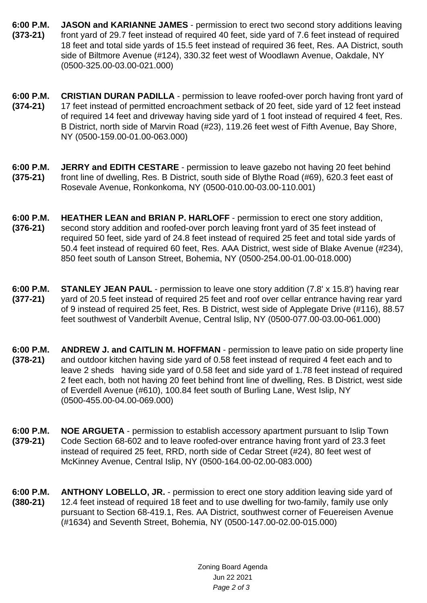- **6:00 P.M. (373-21) JASON and KARIANNE JAMES** - permission to erect two second story additions leaving front yard of 29.7 feet instead of required 40 feet, side yard of 7.6 feet instead of required 18 feet and total side yards of 15.5 feet instead of required 36 feet, Res. AA District, south side of Biltmore Avenue (#124), 330.32 feet west of Woodlawn Avenue, Oakdale, NY (0500-325.00-03.00-021.000)
- **6:00 P.M. (374-21) CRISTIAN DURAN PADILLA** - permission to leave roofed-over porch having front yard of 17 feet instead of permitted encroachment setback of 20 feet, side yard of 12 feet instead of required 14 feet and driveway having side yard of 1 foot instead of required 4 feet, Res. B District, north side of Marvin Road (#23), 119.26 feet west of Fifth Avenue, Bay Shore, NY (0500-159.00-01.00-063.000)
- **6:00 P.M. (375-21) JERRY and EDITH CESTARE** - permission to leave gazebo not having 20 feet behind front line of dwelling, Res. B District, south side of Blythe Road (#69), 620.3 feet east of Rosevale Avenue, Ronkonkoma, NY (0500-010.00-03.00-110.001)
- **6:00 P.M. (376-21) HEATHER LEAN and BRIAN P. HARLOFF** - permission to erect one story addition, second story addition and roofed-over porch leaving front yard of 35 feet instead of required 50 feet, side yard of 24.8 feet instead of required 25 feet and total side yards of 50.4 feet instead of required 60 feet, Res. AAA District, west side of Blake Avenue (#234), 850 feet south of Lanson Street, Bohemia, NY (0500-254.00-01.00-018.000)
- **6:00 P.M. (377-21) STANLEY JEAN PAUL** - permission to leave one story addition (7.8' x 15.8') having rear yard of 20.5 feet instead of required 25 feet and roof over cellar entrance having rear yard of 9 instead of required 25 feet, Res. B District, west side of Applegate Drive (#116), 88.57 feet southwest of Vanderbilt Avenue, Central Islip, NY (0500-077.00-03.00-061.000)
- **6:00 P.M. (378-21) ANDREW J. and CAITLIN M. HOFFMAN** - permission to leave patio on side property line and outdoor kitchen having side yard of 0.58 feet instead of required 4 feet each and to leave 2 sheds having side yard of 0.58 feet and side yard of 1.78 feet instead of required 2 feet each, both not having 20 feet behind front line of dwelling, Res. B District, west side of Everdell Avenue (#610), 100.84 feet south of Burling Lane, West Islip, NY (0500-455.00-04.00-069.000)
- **6:00 P.M. (379-21) NOE ARGUETA** - permission to establish accessory apartment pursuant to Islip Town Code Section 68-602 and to leave roofed-over entrance having front yard of 23.3 feet instead of required 25 feet, RRD, north side of Cedar Street (#24), 80 feet west of McKinney Avenue, Central Islip, NY (0500-164.00-02.00-083.000)
- **6:00 P.M. (380-21) ANTHONY LOBELLO, JR.** - permission to erect one story addition leaving side yard of 12.4 feet instead of required 18 feet and to use dwelling for two-family, family use only pursuant to Section 68-419.1, Res. AA District, southwest corner of Feuereisen Avenue (#1634) and Seventh Street, Bohemia, NY (0500-147.00-02.00-015.000)

Zoning Board Agenda Jun 22 2021 Page 2 of 3